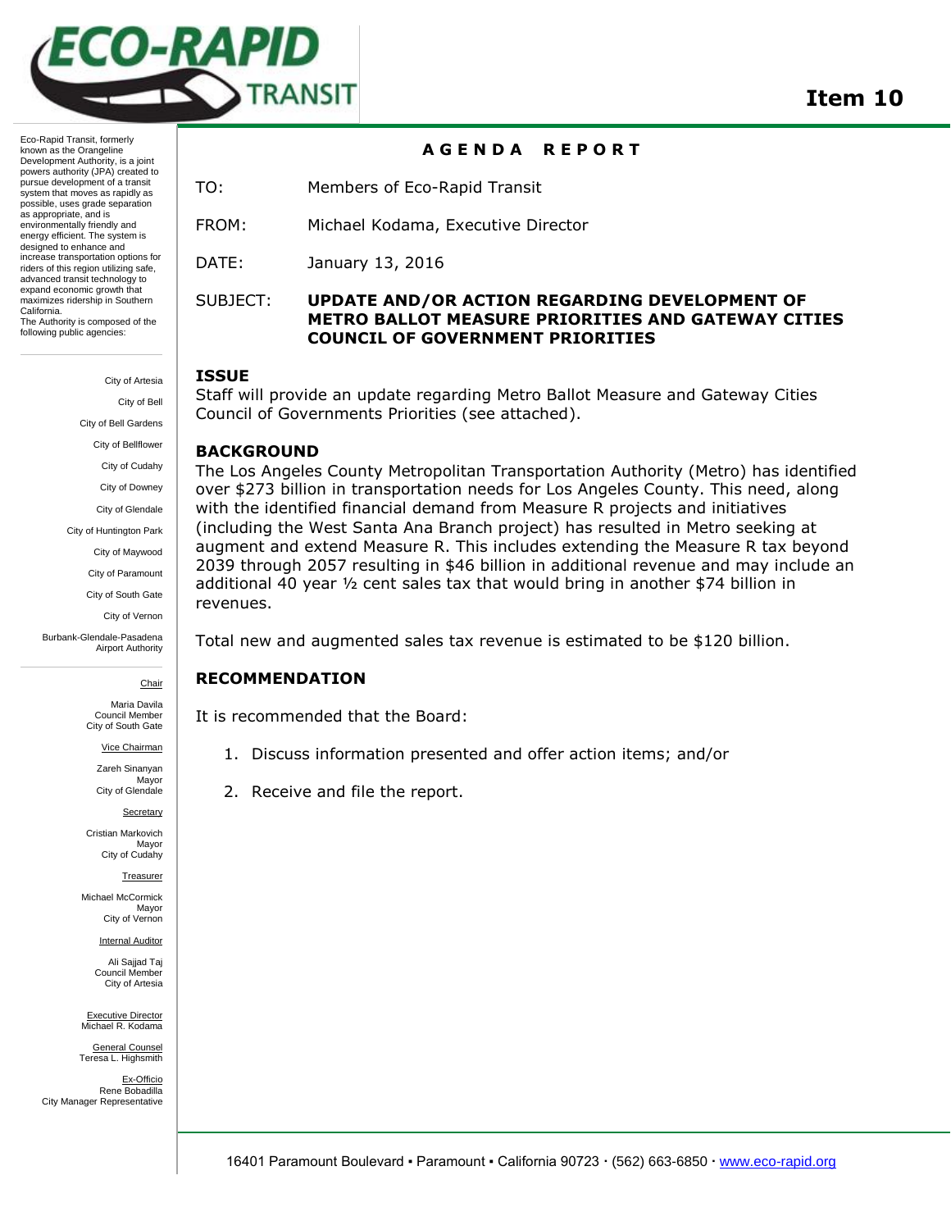

#### **A G E N D A R E P O R T**

Eco-Rapid Transit, formerly known as the Orangeline Development Authority, is a joint powers authority (JPA) created to pursue development of a transit system that moves as rapidly as possible, uses grade separation as appropriate, and is environmentally friendly and energy efficient. The system is designed to enhance and increase transportation options for riders of this region utilizing safe, advanced transit technology to expand economic growth that maximizes ridership in Southern California. The Authority is composed of the following public agencies:

> City of Artesia City of Bell City of Bell Gardens City of Bellflower City of Cudahy City of Downey City of Glendale City of Huntington Park City of Maywood City of Paramount City of South Gate City of Vernon

Burbank-Glendale-Pasadena Airport Authority

**Chair** 

Maria Davila Council Member City of South Gate

Vice Chairman

Zareh Sinanyan Mayor City of Glendale

**Secretary** Cristian Markovich

Mayor City of Cudahy

Treasurer

Michael McCormick Mayor City of Vernon

Internal Auditor

Ali Sajjad Taj Council Member City of Artesia

Executive Director Michael R. Kodama

General Counsel Teresa L. Highsmith

Ex-Officio Rene Bobadilla City Manager Representative TO: Members of Eco-Rapid Transit

FROM: Michael Kodama, Executive Director

DATE: January 13, 2016

#### SUBJECT: **UPDATE AND/OR ACTION REGARDING DEVELOPMENT OF METRO BALLOT MEASURE PRIORITIES AND GATEWAY CITIES COUNCIL OF GOVERNMENT PRIORITIES**

#### **ISSUE**

Staff will provide an update regarding Metro Ballot Measure and Gateway Cities Council of Governments Priorities (see attached).

#### **BACKGROUND**

The Los Angeles County Metropolitan Transportation Authority (Metro) has identified over \$273 billion in transportation needs for Los Angeles County. This need, along with the identified financial demand from Measure R projects and initiatives (including the West Santa Ana Branch project) has resulted in Metro seeking at augment and extend Measure R. This includes extending the Measure R tax beyond 2039 through 2057 resulting in \$46 billion in additional revenue and may include an additional 40 year  $\frac{1}{2}$  cent sales tax that would bring in another \$74 billion in revenues.

Total new and augmented sales tax revenue is estimated to be \$120 billion.

#### **RECOMMENDATION**

It is recommended that the Board:

- 1. Discuss information presented and offer action items; and/or
- 2. Receive and file the report.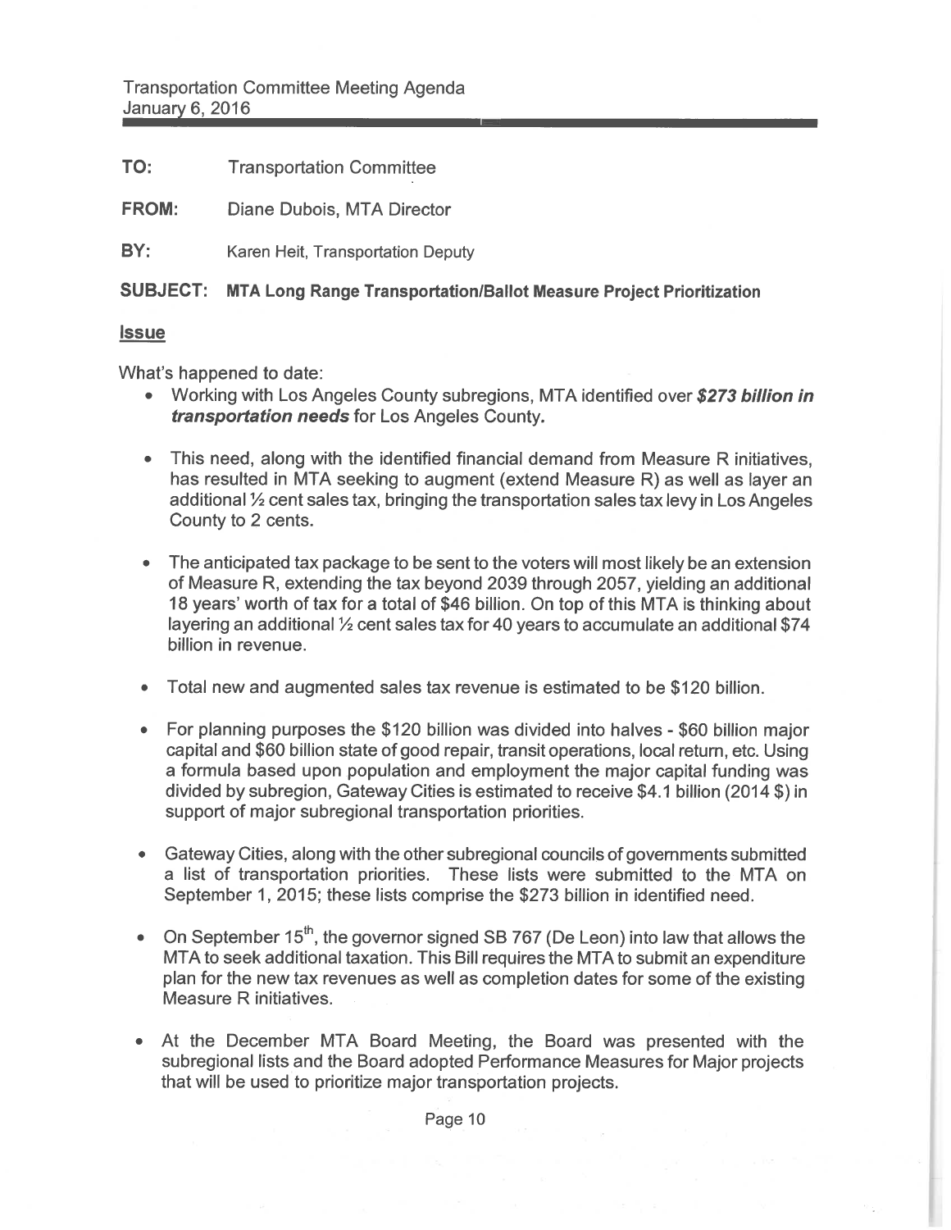TO: **Transportation Committee** 

Diane Dubois, MTA Director **FROM:** 

BY: Karen Heit, Transportation Deputy

## SUBJECT: MTA Long Range Transportation/Ballot Measure Project Prioritization

#### <u>**Issue**</u>

What's happened to date:

- Working with Los Angeles County subregions, MTA identified over \$273 billion in transportation needs for Los Angeles County.
- This need, along with the identified financial demand from Measure R initiatives. has resulted in MTA seeking to augment (extend Measure R) as well as layer an additional 1/2 cent sales tax, bringing the transportation sales tax levy in Los Angeles County to 2 cents.
- The anticipated tax package to be sent to the voters will most likely be an extension of Measure R, extending the tax beyond 2039 through 2057, yielding an additional 18 years' worth of tax for a total of \$46 billion. On top of this MTA is thinking about layering an additional 1/2 cent sales tax for 40 years to accumulate an additional \$74 billion in revenue.
- Total new and augmented sales tax revenue is estimated to be \$120 billion.
- For planning purposes the \$120 billion was divided into halves \$60 billion major capital and \$60 billion state of good repair, transit operations, local return, etc. Using a formula based upon population and employment the major capital funding was divided by subregion, Gateway Cities is estimated to receive \$4.1 billion (2014 \$) in support of major subregional transportation priorities.
- Gateway Cities, along with the other subregional councils of governments submitted  $\bullet$ a list of transportation priorities. These lists were submitted to the MTA on September 1, 2015; these lists comprise the \$273 billion in identified need.
- On September  $15^{th}$ , the governor signed SB 767 (De Leon) into law that allows the MTA to seek additional taxation. This Bill requires the MTA to submit an expenditure plan for the new tax revenues as well as completion dates for some of the existing Measure R initiatives.
- At the December MTA Board Meeting, the Board was presented with the subregional lists and the Board adopted Performance Measures for Major projects that will be used to prioritize major transportation projects.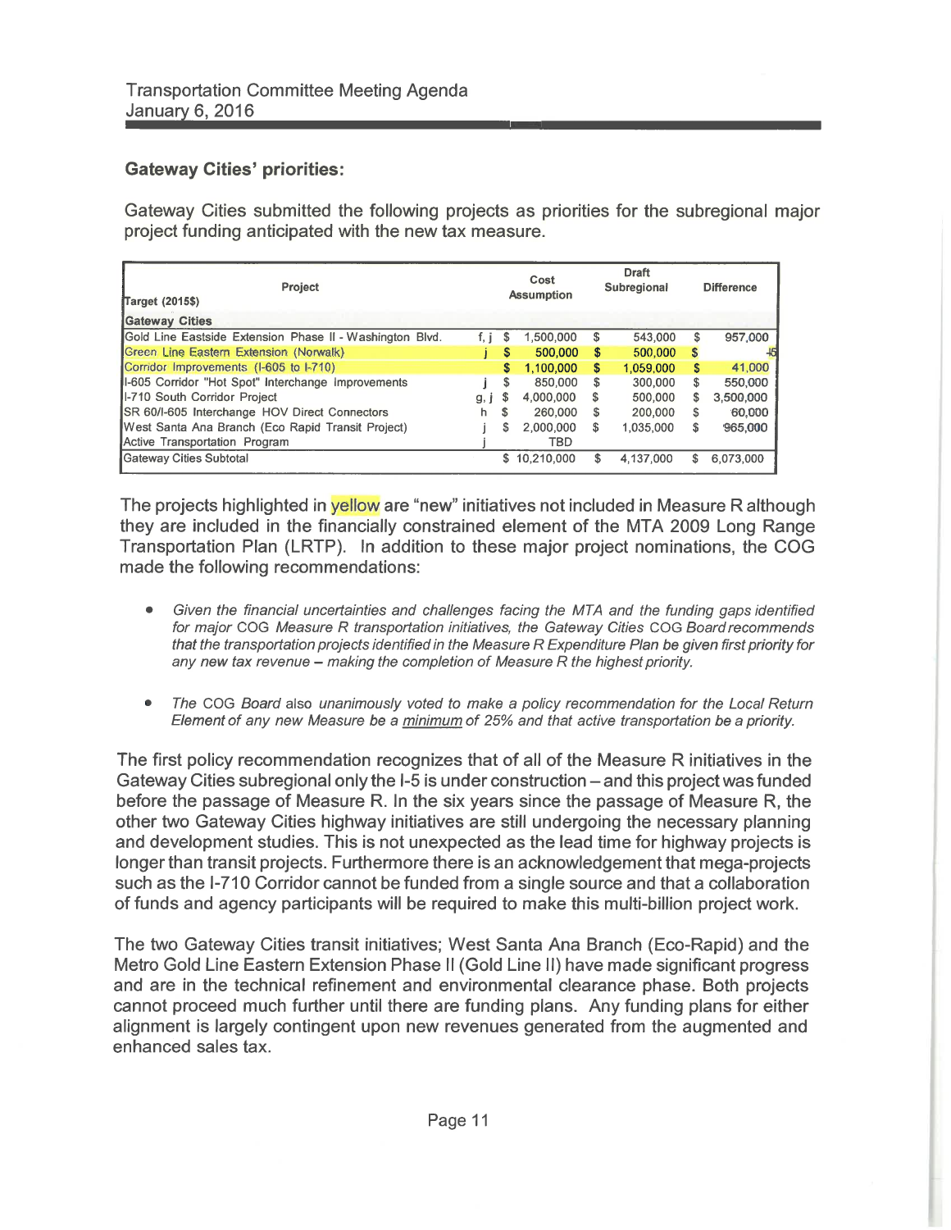## **Gateway Cities' priorities:**

Gateway Cities submitted the following projects as priorities for the subregional major project funding anticipated with the new tax measure.

| Project<br>Target (2015\$)                               |      | Cost<br><b>Assumption</b> |              | <b>Draft</b><br>Subregional |           | <b>Difference</b> |           |
|----------------------------------------------------------|------|---------------------------|--------------|-----------------------------|-----------|-------------------|-----------|
| <b>Gateway Cities</b>                                    |      |                           |              |                             |           |                   |           |
| Gold Line Eastside Extension Phase II - Washington Blvd. | f, i | <b>S</b>                  | 1,500,000    | \$                          | 543,000   | S                 | 957,000   |
| Green Line Eastern Extension (Norwalk)                   |      | S                         | 500,000      | \$                          | 500,000   | S                 |           |
| Corridor Improvements (I-605 to I-710)                   |      | S                         | 1,100,000    | \$                          | 1.059.000 | S                 | 41,000    |
| II-605 Corridor "Hot Spot" Interchange Improvements      |      | S                         | 850.000      | \$                          | 300,000   | \$.               | 550,000   |
| II-710 South Corridor Project                            | g, I | S                         | 4.000.000    | S                           | 500.000   | s                 | 3.500,000 |
| <b>ISR 60/I-605 Interchange HOV Direct Connectors</b>    | h.   | S                         | 260,000      | S                           | 200,000   | S                 | 60,000    |
| West Santa Ana Branch (Eco Rapid Transit Project)        |      | s                         | 2.000.000    | \$                          | 1,035,000 | S                 | 965,000   |
| Active Transportation Program                            |      |                           | <b>TBD</b>   |                             |           |                   |           |
| Gateway Cities Subtotal                                  |      |                           | \$10,210,000 | S                           | 4.137.000 | s                 | 6.073.000 |

The projects highlighted in yellow are "new" initiatives not included in Measure R although they are included in the financially constrained element of the MTA 2009 Long Range Transportation Plan (LRTP). In addition to these major project nominations, the COG made the following recommendations:

- $\bullet$ Given the financial uncertainties and challenges facing the MTA and the funding gaps identified for major COG Measure R transportation initiatives, the Gateway Cities COG Board recommends that the transportation projects identified in the Measure R Expenditure Plan be given first priority for any new tax revenue – making the completion of Measure R the highest priority.
- The COG Board also unanimously voted to make a policy recommendation for the Local Return  $\bullet$ Element of any new Measure be a minimum of 25% and that active transportation be a priority.

The first policy recommendation recognizes that of all of the Measure R initiatives in the Gateway Cities subregional only the I-5 is under construction – and this project was funded before the passage of Measure R. In the six years since the passage of Measure R, the other two Gateway Cities highway initiatives are still undergoing the necessary planning and development studies. This is not unexpected as the lead time for highway projects is longer than transit projects. Furthermore there is an acknowledgement that mega-projects such as the I-710 Corridor cannot be funded from a single source and that a collaboration of funds and agency participants will be required to make this multi-billion project work.

The two Gateway Cities transit initiatives; West Santa Ana Branch (Eco-Rapid) and the Metro Gold Line Eastern Extension Phase II (Gold Line II) have made significant progress and are in the technical refinement and environmental clearance phase. Both projects cannot proceed much further until there are funding plans. Any funding plans for either alignment is largely contingent upon new revenues generated from the augmented and enhanced sales tax.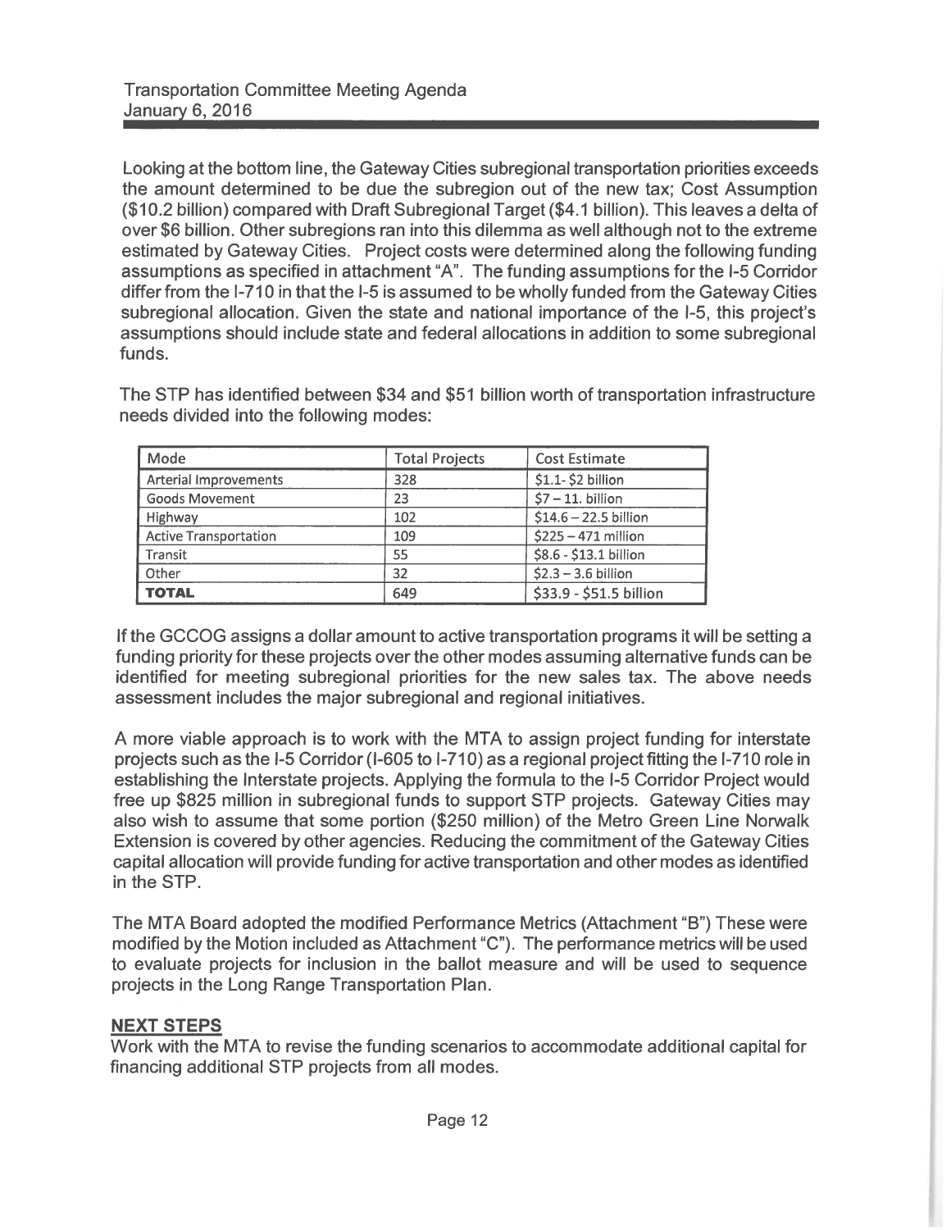Looking at the bottom line, the Gateway Cities subregional transportation priorities exceeds the amount determined to be due the subregion out of the new tax; Cost Assumption (\$10.2 billion) compared with Draft Subregional Target (\$4.1 billion). This leaves a delta of over \$6 billion. Other subregions ran into this dilemma as well although not to the extreme estimated by Gateway Cities. Project costs were determined along the following funding assumptions as specified in attachment "A". The funding assumptions for the I-5 Corridor differ from the I-710 in that the I-5 is assumed to be wholly funded from the Gateway Cities subregional allocation. Given the state and national importance of the I-5, this project's assumptions should include state and federal allocations in addition to some subregional funds.

The STP has identified between \$34 and \$51 billion worth of transportation infrastructure needs divided into the following modes:

| Mode                         | <b>Total Projects</b> | <b>Cost Estimate</b>    |
|------------------------------|-----------------------|-------------------------|
| Arterial Improvements        | 328                   | \$1.1-\$2 billion       |
| <b>Goods Movement</b>        | 23                    | $$7 - 11$ . billion     |
| Highway                      | 102                   | \$14.6 - 22.5 billion   |
| <b>Active Transportation</b> | 109                   | \$225 - 471 million     |
| Transit                      | 55                    | \$8.6 - \$13.1 billion  |
| Other                        | 32                    | $$2.3 - 3.6$ billion    |
| <b>TOTAL</b>                 | 649                   | \$33.9 - \$51.5 billion |

If the GCCOG assigns a dollar amount to active transportation programs it will be setting a funding priority for these projects over the other modes assuming alternative funds can be identified for meeting subregional priorities for the new sales tax. The above needs assessment includes the major subregional and regional initiatives.

A more viable approach is to work with the MTA to assign project funding for interstate projects such as the I-5 Corridor (I-605 to I-710) as a regional project fitting the I-710 role in establishing the Interstate projects. Applying the formula to the I-5 Corridor Project would free up \$825 million in subregional funds to support STP projects. Gateway Cities may also wish to assume that some portion (\$250 million) of the Metro Green Line Norwalk Extension is covered by other agencies. Reducing the commitment of the Gateway Cities capital allocation will provide funding for active transportation and other modes as identified in the STP.

The MTA Board adopted the modified Performance Metrics (Attachment "B") These were modified by the Motion included as Attachment "C"). The performance metrics will be used to evaluate projects for inclusion in the ballot measure and will be used to sequence projects in the Long Range Transportation Plan.

#### **NEXT STEPS**

Work with the MTA to revise the funding scenarios to accommodate additional capital for financing additional STP projects from all modes.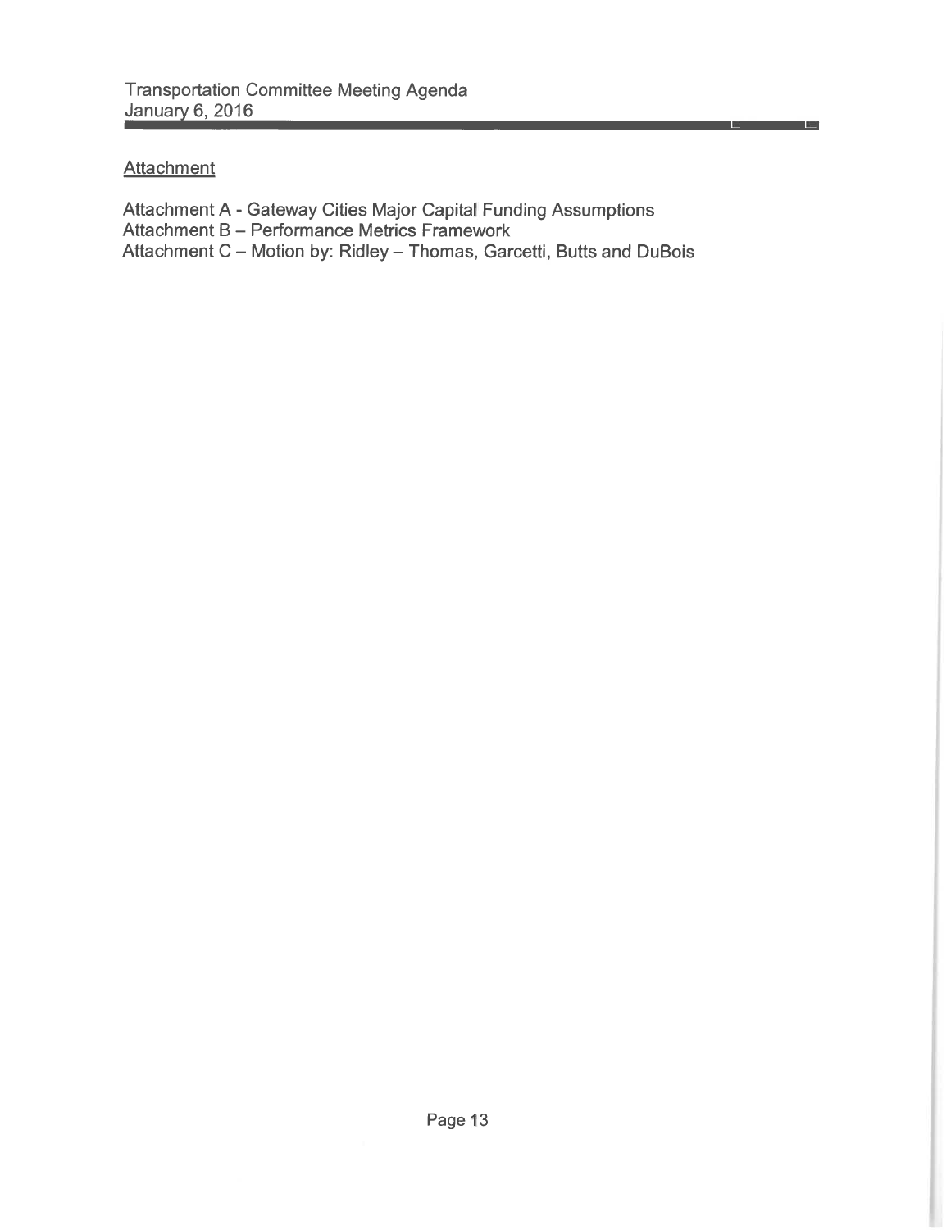## **Attachment**

Attachment A - Gateway Cities Major Capital Funding Assumptions Attachment B - Performance Metrics Framework Attachment C - Motion by: Ridley - Thomas, Garcetti, Butts and DuBois le l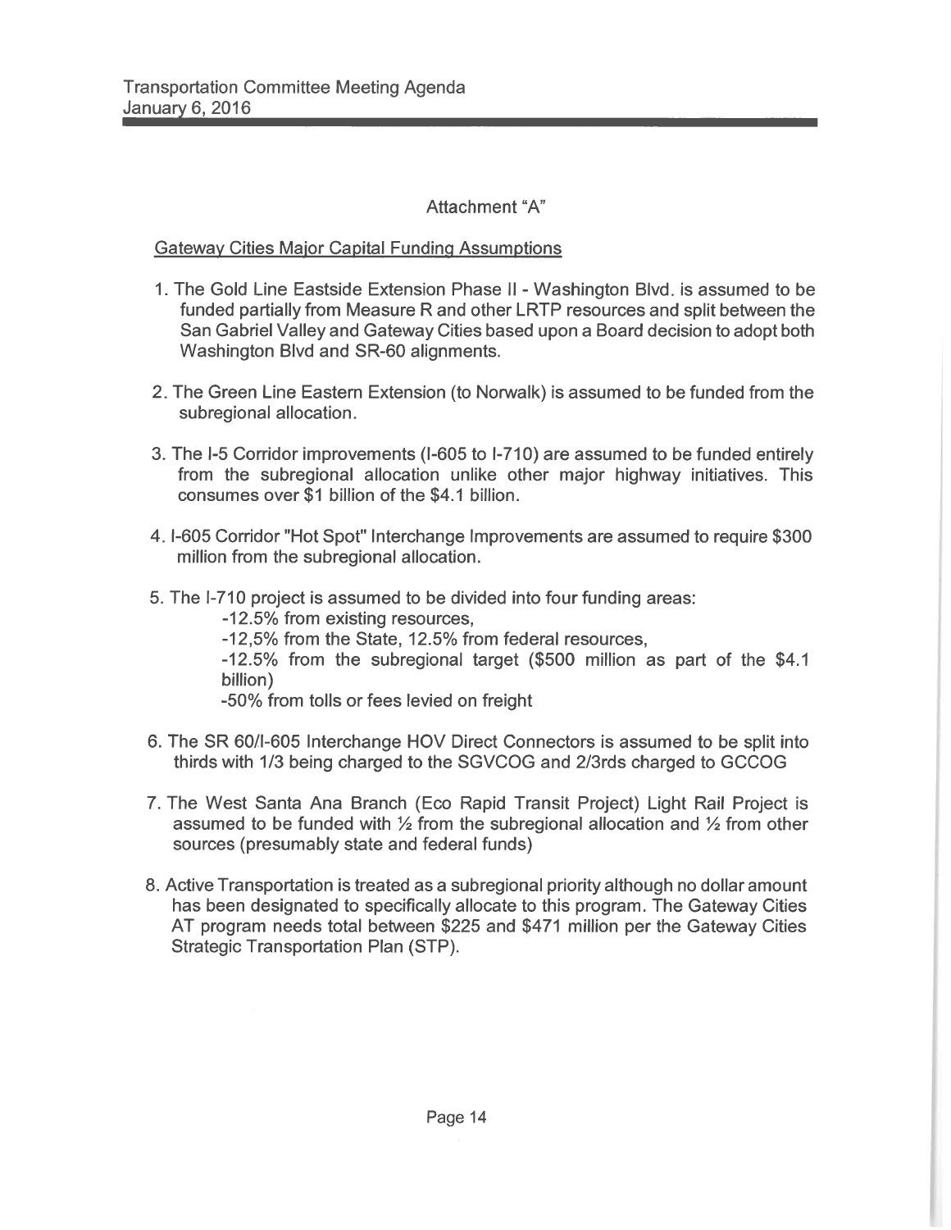### Attachment "A"

#### **Gateway Cities Major Capital Funding Assumptions**

- 1. The Gold Line Eastside Extension Phase II Washington Blvd. is assumed to be funded partially from Measure R and other LRTP resources and split between the San Gabriel Valley and Gateway Cities based upon a Board decision to adopt both Washington Blvd and SR-60 alignments.
- 2. The Green Line Eastern Extension (to Norwalk) is assumed to be funded from the subregional allocation.
- 3. The I-5 Corridor improvements (I-605 to I-710) are assumed to be funded entirely from the subregional allocation unlike other major highway initiatives. This consumes over \$1 billion of the \$4.1 billion.
- 4. I-605 Corridor "Hot Spot" Interchange Improvements are assumed to require \$300 million from the subregional allocation.
- 5. The I-710 project is assumed to be divided into four funding areas:

-12.5% from existing resources.

-12,5% from the State, 12.5% from federal resources,

-12.5% from the subregional target (\$500 million as part of the \$4.1 billion)

-50% from tolls or fees levied on freight

- 6. The SR 60/I-605 Interchange HOV Direct Connectors is assumed to be split into thirds with 1/3 being charged to the SGVCOG and 2/3rds charged to GCCOG
- 7. The West Santa Ana Branch (Eco Rapid Transit Project) Light Rail Project is assumed to be funded with  $\frac{1}{2}$  from the subregional allocation and  $\frac{1}{2}$  from other sources (presumably state and federal funds)
- 8. Active Transportation is treated as a subregional priority although no dollar amount has been designated to specifically allocate to this program. The Gateway Cities AT program needs total between \$225 and \$471 million per the Gateway Cities **Strategic Transportation Plan (STP).**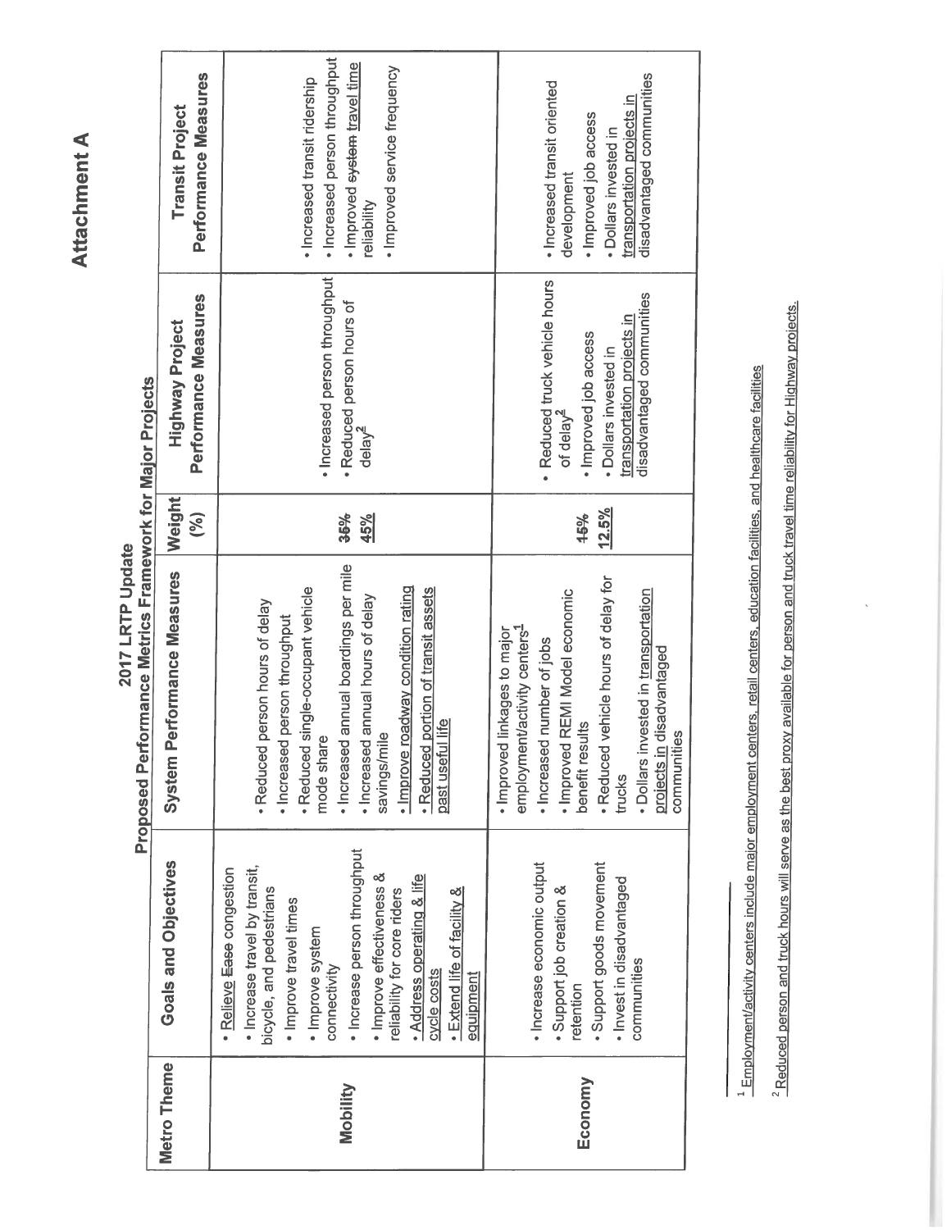# Attachment A

Proposed Performance Metrics Framework for Major Projects 2017 LRTP Update

| <b>Metro Theme</b> | Goals and Objectives                                                                                                                                                                                                                                                                                                                      |                                                                                                                                                                                                                                                                                                                         |               |                                                                                                                                                                     |                                                                                                                                                          |
|--------------------|-------------------------------------------------------------------------------------------------------------------------------------------------------------------------------------------------------------------------------------------------------------------------------------------------------------------------------------------|-------------------------------------------------------------------------------------------------------------------------------------------------------------------------------------------------------------------------------------------------------------------------------------------------------------------------|---------------|---------------------------------------------------------------------------------------------------------------------------------------------------------------------|----------------------------------------------------------------------------------------------------------------------------------------------------------|
|                    |                                                                                                                                                                                                                                                                                                                                           | <b>System Performance Measures</b>                                                                                                                                                                                                                                                                                      | Weight<br>(%) | Performance Measures<br><b>Highway Project</b>                                                                                                                      | Performance Measures<br><b>Transit Project</b>                                                                                                           |
| Mobility           | · Increase person throughput<br>· Increase travel by transit,<br>· Relieve Ease congestion<br>· Improve effectiveness &<br>• Address operating & life<br>bicycle, and pedestrians<br>• Extend life of facility &<br>reliability for core riders<br>· Improve travel times<br>· Improve system<br>connectivity<br>cycle costs<br>equipment | Increased annual boardings per mile<br>· Improve roadway condition rating<br>· Reduced single-occupant vehicle<br>portion of transit assets<br>Increased annual hours of delay<br>. Reduced person hours of delay<br>person throughput<br>Life<br>savings/mile<br>· Increased<br>mode share<br>past useful<br>· Reduced | 36%<br>45%    | · Increased person throughput<br>. Reduced person hours of<br>$de$ ay $\leq$                                                                                        | · Increased person throughput<br>Improved system travel time<br>· Improved service frequency<br>· Increased transit ridership<br>reliability             |
| Economy            | · Increase economic output<br>· Support goods movement<br>· Invest in disadvantaged<br>· Support job creation &<br>communities<br>retention                                                                                                                                                                                               | · Reduced vehicle hours of delay for<br>· Dollars invested in transportation<br>· Improved REMI Model economic<br>employment/activity centers <sup>1</sup><br>linkages to major<br>· Increased number of jobs<br>projects in disadvantaged<br>benefit results<br>communities<br>· Improved<br>trucks                    | 12.5%<br>15%  | · Reduced truck vehicle hours<br>disadvantaged communities<br>transportation projects in<br>· Improved job access<br>· Dollars invested in<br>of delay <sup>4</sup> | disadvantaged communities<br>· Increased transit oriented<br>transportation projects in<br>· Improved job access<br>- Dollars invested in<br>development |

<sup>1</sup> Employment/activity centers include major employment centers, retail centers, education facilities, and healthcare facilities

<sup>2</sup> Reduced person and truck hours will serve as the best proxy available for person and truck travel time reliability for Highway projects.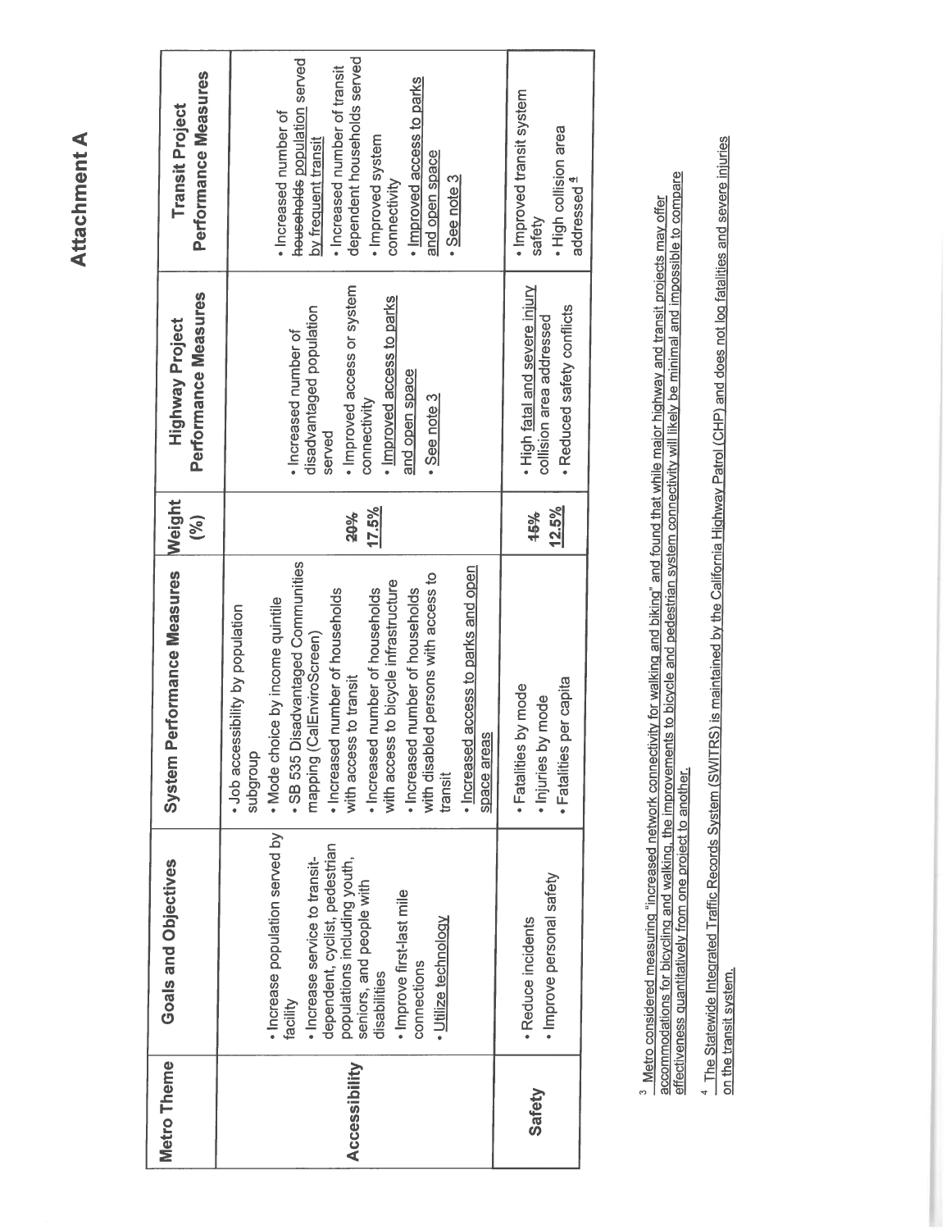## **Attachment A**

| Metro Theme<br>Accessibility | · Increase population served by<br>dependent, cyclist, pedestrian<br>· Increase service to transit-<br>populations including youth,<br>Goals and Objectives<br>seniors, and people with<br>· Improve first-last mile<br>disabilities<br>facility | SB 535 Disadvantaged Communities<br>Performance Measures<br>with access to bicycle infrastructure<br>Increased number of households<br>Increased number of households<br>· Mode choice by income quintile<br>• Job accessibility by population<br>mapping (CalEnviroScreen)<br>with access to transit<br>System<br>subgroup | Weight<br>17.5%<br>20%<br>(%) | · Improved access or system<br>Performance Measures<br>· Improved access to parks<br>disadvantaged population<br><b>Highway Project</b><br>· Increased number of<br>connectivity<br>served | households population served<br>dependent households served<br>· Increased number of transit<br>Performance Measures<br><b>Transit Project</b><br>· Increased number of<br>· Improved system<br>by frequent transit<br>connectivity |
|------------------------------|--------------------------------------------------------------------------------------------------------------------------------------------------------------------------------------------------------------------------------------------------|-----------------------------------------------------------------------------------------------------------------------------------------------------------------------------------------------------------------------------------------------------------------------------------------------------------------------------|-------------------------------|--------------------------------------------------------------------------------------------------------------------------------------------------------------------------------------------|-------------------------------------------------------------------------------------------------------------------------------------------------------------------------------------------------------------------------------------|
|                              | · Utilize technology<br>connections                                                                                                                                                                                                              | · Increased access to parks and open<br>with disabled persons with access to<br>Increased number of households<br>space areas<br>transit                                                                                                                                                                                    |                               | and open space<br>• See note 3                                                                                                                                                             | · Improved access to parks<br>and open space<br>• See note 3                                                                                                                                                                        |
| Safety                       | · Reduce incidents                                                                                                                                                                                                                               | · Fatalities by mode<br>by mode<br>· Injuries                                                                                                                                                                                                                                                                               | 45%                           | . High fatal and severe injury<br>collision area addressed                                                                                                                                 | · Improved transit system<br>safety                                                                                                                                                                                                 |
|                              | · Improve personal safety                                                                                                                                                                                                                        | · Fatalities per capita                                                                                                                                                                                                                                                                                                     | 12.5%                         | · Reduced safety conflicts                                                                                                                                                                 | . High collision area<br>addressed <sup>4</sup>                                                                                                                                                                                     |
|                              |                                                                                                                                                                                                                                                  |                                                                                                                                                                                                                                                                                                                             |                               |                                                                                                                                                                                            |                                                                                                                                                                                                                                     |

<sup>3</sup> Metro considered measuring "increased network connectivity for walking and biking" and found that while major highway and transit projects may offer<br>accommodations for bicycling and walking, the improvements to bicycle

<sup>4</sup> The Statewide Integrated Traffic Records System (SWITRS) is maintained by the California Highway Patrol (CHP) and does not log fatalities and severe injuries on the transit system.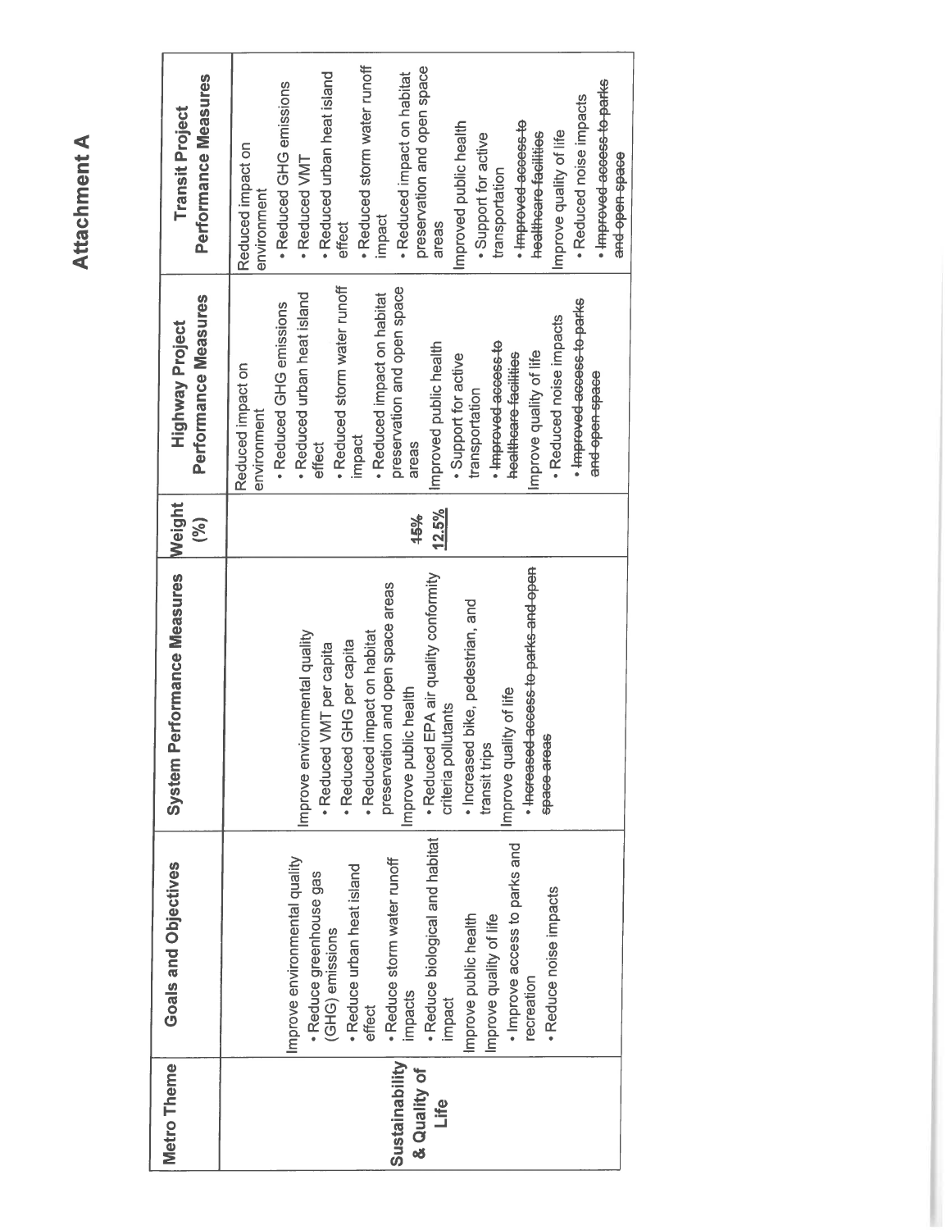| Performance Measures<br><b>Transit Project</b> | · Reduced storm water runoff<br>preservation and open space<br>· Reduced urban heat island<br>· Reduced impact on habitat<br>· Improved-access-to-parks<br>· Reduced GHG emissions<br>· Reduced noise impacts<br>· Improved access to<br>Improved public health<br>Improve quality of life<br>healthcare facilities<br>. Support for active<br>Reduced impact on<br>and open space<br>· Reduced VMT<br>transportation<br>environment<br>impact<br>effect<br>areas |
|------------------------------------------------|-------------------------------------------------------------------------------------------------------------------------------------------------------------------------------------------------------------------------------------------------------------------------------------------------------------------------------------------------------------------------------------------------------------------------------------------------------------------|
| Performance Measures<br><b>Highway Project</b> | · Reduced storm water runoff<br>preservation and open space<br>· Reduced urban heat island<br>· Reduced impact on habitat<br>· Improved access to parks<br>· Reduced GHG emissions<br>· Reduced noise impacts<br>· Improved access to<br>Improved public health<br>Improve quality of life<br>healtheare facilities<br>. Support for active<br>Reduced impact on<br>and open space<br>transportation<br>environment<br>impact<br>ettect<br>areas                  |
| Weight<br>(%)                                  | 12.5%<br>15%                                                                                                                                                                                                                                                                                                                                                                                                                                                      |
| Performance Measures<br>System                 | · Increased access to parks and open<br>· Reduced EPA air quality conformity<br>preservation and open space areas<br>· Increased bike, pedestrian, and<br>Improve environmental quality<br>· Reduced impact on habitat<br>· Reduced GHG per capita<br>· Reduced VMT per capita<br>Improve public health<br>Improve quality of life<br>criteria pollutants<br>space areas<br>transit trips                                                                         |
| Goals and Objectives                           | · Reduce biological and habitat<br>· Improve access to parks and<br>Improve environmental quality<br>· Reduce storm water runoff<br>· Reduce urban heat island<br>· Reduce greenhouse gas<br>· Reduce noise impacts<br>Improve public health<br>Improve quality of life<br>(GHG) emissions<br>recreation<br>impacts<br>impact<br>effect                                                                                                                           |
| Metro Theme                                    | Sustainability<br>& Quality of<br>Life                                                                                                                                                                                                                                                                                                                                                                                                                            |